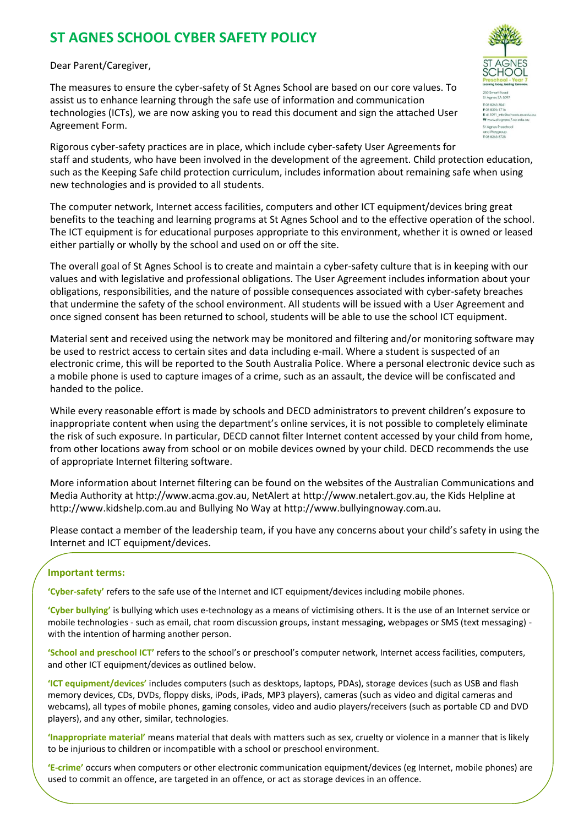# **ST AGNES SCHOOL CYBER SAFETY POLICY**

Dear Parent/Caregiver,

The measures to ensure the cyber-safety of St Agnes School are based on our core values. To assist us to enhance learning through the safe use of information and communication technologies (ICTs), we are now asking you to read this document and sign the attached User Agreement Form.



The computer network, Internet access facilities, computers and other ICT equipment/devices bring great benefits to the teaching and learning programs at St Agnes School and to the effective operation of the school. The ICT equipment is for educational purposes appropriate to this environment, whether it is owned or leased either partially or wholly by the school and used on or off the site.

The overall goal of St Agnes School is to create and maintain a cyber-safety culture that is in keeping with our values and with legislative and professional obligations. The User Agreement includes information about your obligations, responsibilities, and the nature of possible consequences associated with cyber-safety breaches that undermine the safety of the school environment. All students will be issued with a User Agreement and once signed consent has been returned to school, students will be able to use the school ICT equipment.

Material sent and received using the network may be monitored and filtering and/or monitoring software may be used to restrict access to certain sites and data including e-mail. Where a student is suspected of an electronic crime, this will be reported to the South Australia Police. Where a personal electronic device such as a mobile phone is used to capture images of a crime, such as an assault, the device will be confiscated and handed to the police.

While every reasonable effort is made by schools and DECD administrators to prevent children's exposure to inappropriate content when using the department's online services, it is not possible to completely eliminate the risk of such exposure. In particular, DECD cannot filter Internet content accessed by your child from home, from other locations away from school or on mobile devices owned by your child. DECD recommends the use of appropriate Internet filtering software.

More information about Internet filtering can be found on the websites of the Australian Communications and Media Authority at http://www.acma.gov.au, NetAlert at http://www.netalert.gov.au, the Kids Helpline at http://www.kidshelp.com.au and Bullying No Way at http://www.bullyingnoway.com.au.

Please contact a member of the leadership team, if you have any concerns about your child's safety in using the Internet and ICT equipment/devices.

### **Important terms:**

**'Cyber-safety'** refers to the safe use of the Internet and ICT equipment/devices including mobile phones.

**'Cyber bullying'** is bullying which uses e-technology as a means of victimising others. It is the use of an Internet service or mobile technologies - such as email, chat room discussion groups, instant messaging, webpages or SMS (text messaging) with the intention of harming another person.

**'School and preschool ICT'** refers to the school's or preschool's computer network, Internet access facilities, computers, and other ICT equipment/devices as outlined below.

**'ICT equipment/devices'** includes computers (such as desktops, laptops, PDAs), storage devices (such as USB and flash memory devices, CDs, DVDs, floppy disks, iPods, iPads, MP3 players), cameras (such as video and digital cameras and webcams), all types of mobile phones, gaming consoles, video and audio players/receivers (such as portable CD and DVD players), and any other, similar, technologies.

**'Inappropriate material'** means material that deals with matters such as sex, cruelty or violence in a manner that is likely to be injurious to children or incompatible with a school or preschool environment.

**'E-crime'** occurs when computers or other electronic communication equipment/devices (eg Internet, mobile phones) are used to commit an offence, are targeted in an offence, or act as storage devices in an offence.

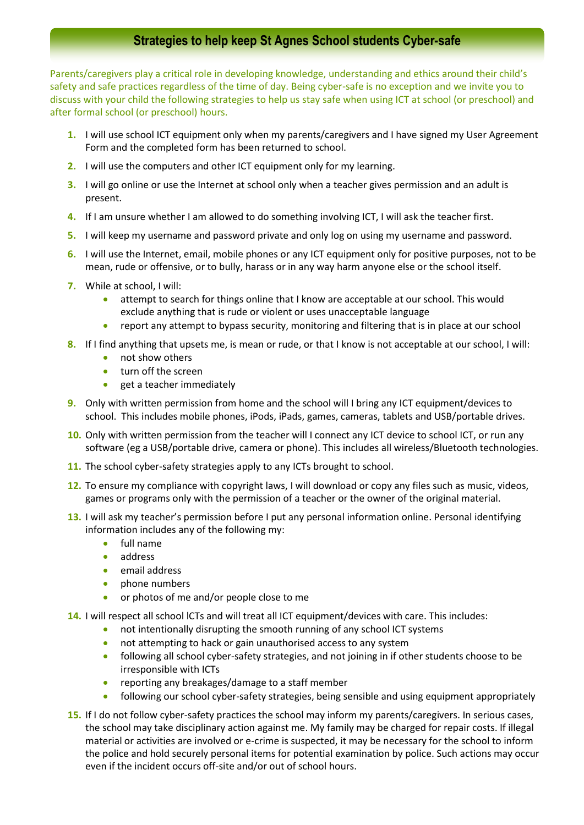# **Strategies to help keep St Agnes School students Cyber-safe**

Parents/caregivers play a critical role in developing knowledge, understanding and ethics around their child's safety and safe practices regardless of the time of day. Being cyber-safe is no exception and we invite you to discuss with your child the following strategies to help us stay safe when using ICT at school (or preschool) and after formal school (or preschool) hours.

- **1.** I will use school ICT equipment only when my parents/caregivers and I have signed my User Agreement Form and the completed form has been returned to school.
- **2.** I will use the computers and other ICT equipment only for my learning.
- **3.** I will go online or use the Internet at school only when a teacher gives permission and an adult is present.
- **4.** If I am unsure whether I am allowed to do something involving ICT, I will ask the teacher first.
- **5.** I will keep my username and password private and only log on using my username and password.
- **6.** I will use the Internet, email, mobile phones or any ICT equipment only for positive purposes, not to be mean, rude or offensive, or to bully, harass or in any way harm anyone else or the school itself.
- **7.** While at school, I will:
	- attempt to search for things online that I know are acceptable at our school. This would exclude anything that is rude or violent or uses unacceptable language
	- report any attempt to bypass security, monitoring and filtering that is in place at our school
- **8.** If I find anything that upsets me, is mean or rude, or that I know is not acceptable at our school, I will:
	- not show others
	- turn off the screen
	- **e** get a teacher immediately
- **9.** Only with written permission from home and the school will I bring any ICT equipment/devices to school. This includes mobile phones, iPods, iPads, games, cameras, tablets and USB/portable drives.
- **10.** Only with written permission from the teacher will I connect any ICT device to school ICT, or run any software (eg a USB/portable drive, camera or phone). This includes all wireless/Bluetooth technologies.
- **11.** The school cyber-safety strategies apply to any ICTs brought to school.
- **12.** To ensure my compliance with copyright laws, I will download or copy any files such as music, videos, games or programs only with the permission of a teacher or the owner of the original material.
- **13.** I will ask my teacher's permission before I put any personal information online. Personal identifying information includes any of the following my:
	- full name
	- address
	- **email address**
	- phone numbers
	- **•** or photos of me and/or people close to me
- **14.** I will respect all school lCTs and will treat all ICT equipment/devices with care. This includes:
	- not intentionally disrupting the smooth running of any school ICT systems
		- not attempting to hack or gain unauthorised access to any system
		- following all school cyber-safety strategies, and not joining in if other students choose to be irresponsible with ICTs
		- reporting any breakages/damage to a staff member
		- following our school cyber-safety strategies, being sensible and using equipment appropriately
- **15.** If I do not follow cyber-safety practices the school may inform my parents/caregivers. In serious cases, the school may take disciplinary action against me. My family may be charged for repair costs. If illegal material or activities are involved or e-crime is suspected, it may be necessary for the school to inform the police and hold securely personal items for potential examination by police. Such actions may occur even if the incident occurs off-site and/or out of school hours.